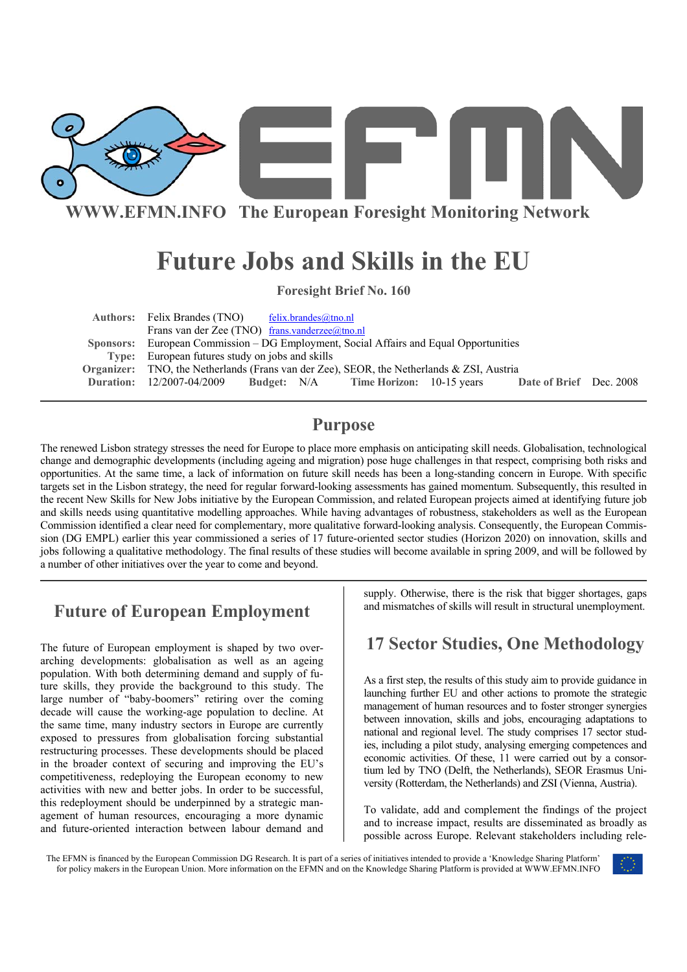

**WWW.EFMN.INFO The European Foresight Monitoring Network**

# **Future Jobs and Skills in the EU**

**Foresight Brief No. 160** 

Authors: Felix Brandes (TNO) felix.brandes@tno.nl Frans van der Zee (TNO) frans.vanderzee@tno.nl  **Sponsors:** European Commission – DG Employment, Social Affairs and Equal Opportunities **Type:** European futures study on jobs and skills **Organizer:** TNO, the Netherlands (Frans van der Zee), SEOR, the Netherlands & ZSI, Austria **Duration:** 12/2007-04/2009 **Budget:** N/A **Time Horizon:** 10-15 years **Date of Brief** Dec. 2008

# **Purpose**

The renewed Lisbon strategy stresses the need for Europe to place more emphasis on anticipating skill needs. Globalisation, technological change and demographic developments (including ageing and migration) pose huge challenges in that respect, comprising both risks and opportunities. At the same time, a lack of information on future skill needs has been a long-standing concern in Europe. With specific targets set in the Lisbon strategy, the need for regular forward-looking assessments has gained momentum. Subsequently, this resulted in the recent New Skills for New Jobs initiative by the European Commission, and related European projects aimed at identifying future job and skills needs using quantitative modelling approaches. While having advantages of robustness, stakeholders as well as the European Commission identified a clear need for complementary, more qualitative forward-looking analysis. Consequently, the European Commission (DG EMPL) earlier this year commissioned a series of 17 future-oriented sector studies (Horizon 2020) on innovation, skills and jobs following a qualitative methodology. The final results of these studies will become available in spring 2009, and will be followed by a number of other initiatives over the year to come and beyond.

# **Future of European Employment**

The future of European employment is shaped by two overarching developments: globalisation as well as an ageing population. With both determining demand and supply of future skills, they provide the background to this study. The large number of "baby-boomers" retiring over the coming decade will cause the working-age population to decline. At the same time, many industry sectors in Europe are currently exposed to pressures from globalisation forcing substantial restructuring processes. These developments should be placed in the broader context of securing and improving the EU's competitiveness, redeploying the European economy to new activities with new and better jobs. In order to be successful, this redeployment should be underpinned by a strategic management of human resources, encouraging a more dynamic and future-oriented interaction between labour demand and supply. Otherwise, there is the risk that bigger shortages, gaps and mismatches of skills will result in structural unemployment.

# **17 Sector Studies, One Methodology**

As a first step, the results of this study aim to provide guidance in launching further EU and other actions to promote the strategic management of human resources and to foster stronger synergies between innovation, skills and jobs, encouraging adaptations to national and regional level. The study comprises 17 sector studies, including a pilot study, analysing emerging competences and economic activities. Of these, 11 were carried out by a consortium led by TNO (Delft, the Netherlands), SEOR Erasmus University (Rotterdam, the Netherlands) and ZSI (Vienna, Austria).

To validate, add and complement the findings of the project and to increase impact, results are disseminated as broadly as possible across Europe. Relevant stakeholders including rele-

The EFMN is financed by the European Commission DG Research. It is part of a series of initiatives intended to provide a 'Knowledge Sharing Platform' for policy makers in the European Union. More information on the EFMN and on the Knowledge Sharing Platform is provided at WWW.EFMN.INFO

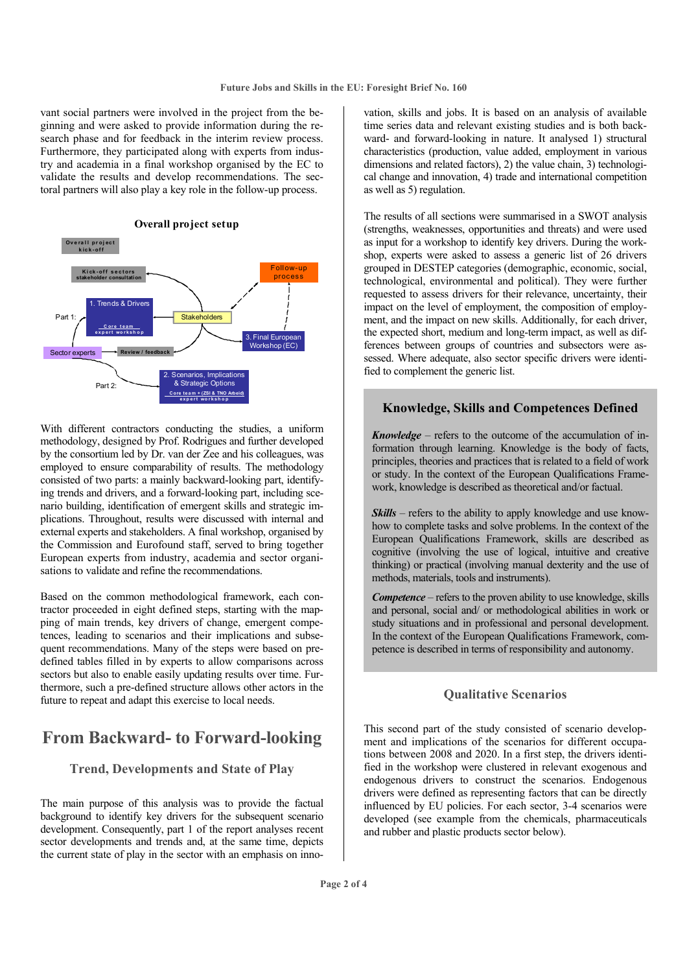vant social partners were involved in the project from the beginning and were asked to provide information during the research phase and for feedback in the interim review process. Furthermore, they participated along with experts from industry and academia in a final workshop organised by the EC to validate the results and develop recommendations. The sectoral partners will also play a key role in the follow-up process.



With different contractors conducting the studies, a uniform methodology, designed by Prof. Rodrigues and further developed by the consortium led by Dr. van der Zee and his colleagues, was employed to ensure comparability of results. The methodology consisted of two parts: a mainly backward-looking part, identifying trends and drivers, and a forward-looking part, including scenario building, identification of emergent skills and strategic implications. Throughout, results were discussed with internal and external experts and stakeholders. A final workshop, organised by the Commission and Eurofound staff, served to bring together European experts from industry, academia and sector organisations to validate and refine the recommendations.

Based on the common methodological framework, each contractor proceeded in eight defined steps, starting with the mapping of main trends, key drivers of change, emergent competences, leading to scenarios and their implications and subsequent recommendations. Many of the steps were based on predefined tables filled in by experts to allow comparisons across sectors but also to enable easily updating results over time. Furthermore, such a pre-defined structure allows other actors in the future to repeat and adapt this exercise to local needs.

# **From Backward- to Forward-looking**

### **Trend, Developments and State of Play**

The main purpose of this analysis was to provide the factual background to identify key drivers for the subsequent scenario development. Consequently, part 1 of the report analyses recent sector developments and trends and, at the same time, depicts the current state of play in the sector with an emphasis on inno-

vation, skills and jobs. It is based on an analysis of available time series data and relevant existing studies and is both backward- and forward-looking in nature. It analysed 1) structural characteristics (production, value added, employment in various dimensions and related factors), 2) the value chain, 3) technological change and innovation, 4) trade and international competition as well as 5) regulation.

The results of all sections were summarised in a SWOT analysis (strengths, weaknesses, opportunities and threats) and were used as input for a workshop to identify key drivers. During the workshop, experts were asked to assess a generic list of 26 drivers grouped in DESTEP categories (demographic, economic, social, technological, environmental and political). They were further requested to assess drivers for their relevance, uncertainty, their impact on the level of employment, the composition of employment, and the impact on new skills. Additionally, for each driver, the expected short, medium and long-term impact, as well as differences between groups of countries and subsectors were assessed. Where adequate, also sector specific drivers were identified to complement the generic list.

### **Knowledge, Skills and Competences Defined**

*Knowledge –* refers to the outcome of the accumulation of information through learning. Knowledge is the body of facts, principles, theories and practices that is related to a field of work or study. In the context of the European Qualifications Framework, knowledge is described as theoretical and/or factual.

*Skills* – refers to the ability to apply knowledge and use knowhow to complete tasks and solve problems. In the context of the European Qualifications Framework, skills are described as cognitive (involving the use of logical, intuitive and creative thinking) or practical (involving manual dexterity and the use of methods, materials, tools and instruments).

*Competence* – refers to the proven ability to use knowledge, skills and personal, social and/ or methodological abilities in work or study situations and in professional and personal development. In the context of the European Qualifications Framework, competence is described in terms of responsibility and autonomy.

### **Qualitative Scenarios**

This second part of the study consisted of scenario development and implications of the scenarios for different occupations between 2008 and 2020. In a first step, the drivers identified in the workshop were clustered in relevant exogenous and endogenous drivers to construct the scenarios. Endogenous drivers were defined as representing factors that can be directly influenced by EU policies. For each sector, 3-4 scenarios were developed (see example from the chemicals, pharmaceuticals and rubber and plastic products sector below).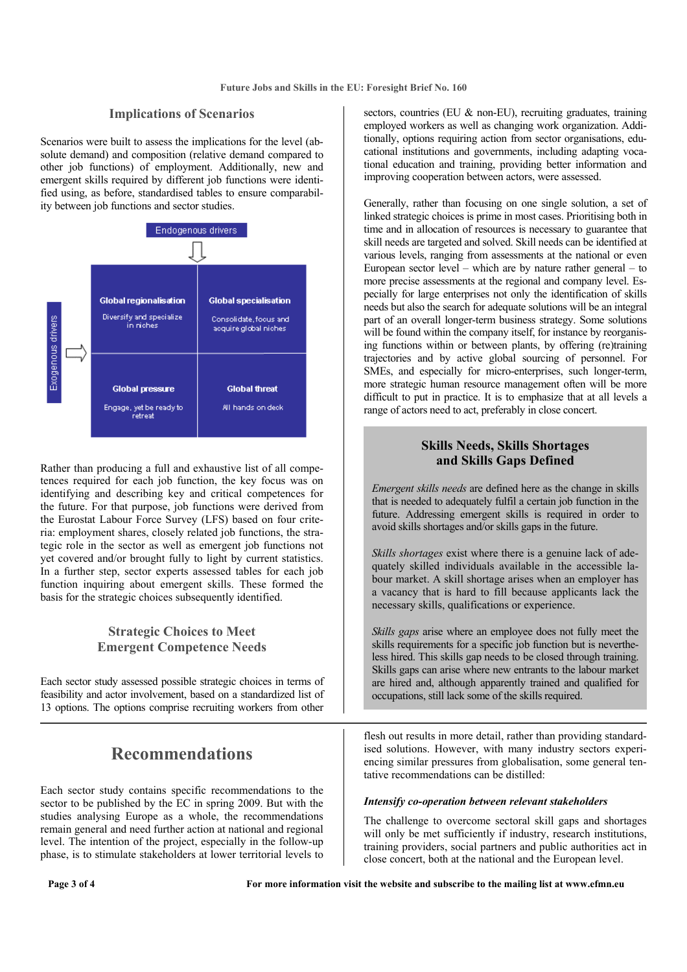### **Implications of Scenarios**

Scenarios were built to assess the implications for the level (absolute demand) and composition (relative demand compared to other job functions) of employment. Additionally, new and emergent skills required by different job functions were identified using, as before, standardised tables to ensure comparability between job functions and sector studies.



Rather than producing a full and exhaustive list of all competences required for each job function, the key focus was on identifying and describing key and critical competences for the future. For that purpose, job functions were derived from the Eurostat Labour Force Survey (LFS) based on four criteria: employment shares, closely related job functions, the strategic role in the sector as well as emergent job functions not yet covered and/or brought fully to light by current statistics. In a further step, sector experts assessed tables for each job function inquiring about emergent skills. These formed the basis for the strategic choices subsequently identified.

### **Strategic Choices to Meet Emergent Competence Needs**

Each sector study assessed possible strategic choices in terms of feasibility and actor involvement, based on a standardized list of 13 options. The options comprise recruiting workers from other

# **Recommendations**

Each sector study contains specific recommendations to the sector to be published by the EC in spring 2009. But with the studies analysing Europe as a whole, the recommendations remain general and need further action at national and regional level. The intention of the project, especially in the follow-up phase, is to stimulate stakeholders at lower territorial levels to sectors, countries (EU & non-EU), recruiting graduates, training employed workers as well as changing work organization. Additionally, options requiring action from sector organisations, educational institutions and governments, including adapting vocational education and training, providing better information and improving cooperation between actors, were assessed.

Generally, rather than focusing on one single solution, a set of linked strategic choices is prime in most cases. Prioritising both in time and in allocation of resources is necessary to guarantee that skill needs are targeted and solved. Skill needs can be identified at various levels, ranging from assessments at the national or even European sector level – which are by nature rather general – to more precise assessments at the regional and company level. Especially for large enterprises not only the identification of skills needs but also the search for adequate solutions will be an integral part of an overall longer-term business strategy. Some solutions will be found within the company itself, for instance by reorganising functions within or between plants, by offering (re)training trajectories and by active global sourcing of personnel. For SMEs, and especially for micro-enterprises, such longer-term, more strategic human resource management often will be more difficult to put in practice. It is to emphasize that at all levels a range of actors need to act, preferably in close concert.

### **Skills Needs, Skills Shortages and Skills Gaps Defined**

*Emergent skills needs* are defined here as the change in skills that is needed to adequately fulfil a certain job function in the future. Addressing emergent skills is required in order to avoid skills shortages and/or skills gaps in the future.

*Skills shortages* exist where there is a genuine lack of adequately skilled individuals available in the accessible labour market. A skill shortage arises when an employer has a vacancy that is hard to fill because applicants lack the necessary skills, qualifications or experience.

*Skills gaps* arise where an employee does not fully meet the skills requirements for a specific job function but is nevertheless hired. This skills gap needs to be closed through training. Skills gaps can arise where new entrants to the labour market are hired and, although apparently trained and qualified for occupations, still lack some of the skills required.

flesh out results in more detail, rather than providing standardised solutions. However, with many industry sectors experiencing similar pressures from globalisation, some general tentative recommendations can be distilled:

### *Intensify co-operation between relevant stakeholders*

The challenge to overcome sectoral skill gaps and shortages will only be met sufficiently if industry, research institutions, training providers, social partners and public authorities act in close concert, both at the national and the European level.